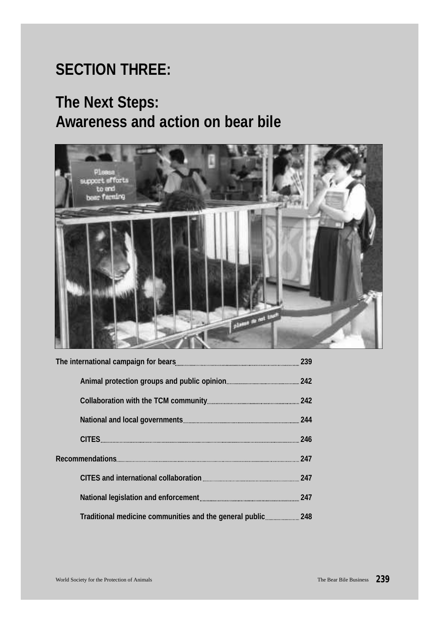# **SECTION THREE:**

# **The Next Steps: Awareness and action on bear bile**

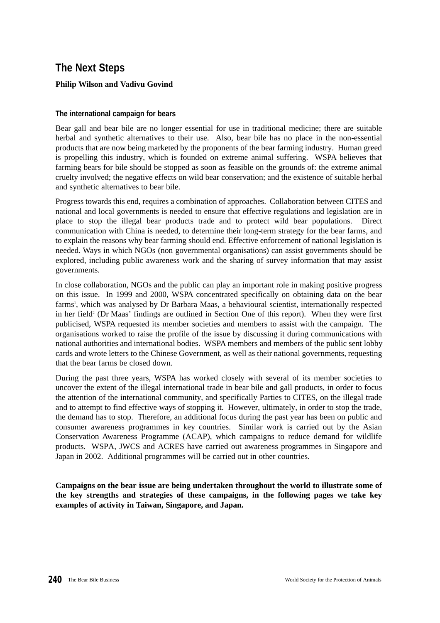# **The Next Steps**

## **Philip Wilson and Vadivu Govind**

#### **The international campaign for bears**

Bear gall and bear bile are no longer essential for use in traditional medicine; there are suitable herbal and synthetic alternatives to their use. Also, bear bile has no place in the non-essential products that are now being marketed by the proponents of the bear farming industry. Human greed is propelling this industry, which is founded on extreme animal suffering. WSPA believes that farming bears for bile should be stopped as soon as feasible on the grounds of: the extreme animal cruelty involved; the negative effects on wild bear conservation; and the existence of suitable herbal and synthetic alternatives to bear bile.

Progress towards this end, requires a combination of approaches. Collaboration between CITES and national and local governments is needed to ensure that effective regulations and legislation are in place to stop the illegal bear products trade and to protect wild bear populations. Direct communication with China is needed, to determine their long-term strategy for the bear farms, and to explain the reasons why bear farming should end. Effective enforcement of national legislation is needed. Ways in which NGOs (non governmental organisations) can assist governments should be explored, including public awareness work and the sharing of survey information that may assist governments.

In close collaboration, NGOs and the public can play an important role in making positive progress on this issue. In 1999 and 2000, WSPA concentrated specifically on obtaining data on the bear farms<sup>1</sup>, which was analysed by Dr Barbara Maas, a behavioural scientist, internationally respected in her field<sup>2</sup> (Dr Maas' findings are outlined in Section One of this report). When they were first publicised, WSPA requested its member societies and members to assist with the campaign. The organisations worked to raise the profile of the issue by discussing it during communications with national authorities and international bodies. WSPA members and members of the public sent lobby cards and wrote letters to the Chinese Government, as well as their national governments, requesting that the bear farms be closed down.

During the past three years, WSPA has worked closely with several of its member societies to uncover the extent of the illegal international trade in bear bile and gall products, in order to focus the attention of the international community, and specifically Parties to CITES, on the illegal trade and to attempt to find effective ways of stopping it. However, ultimately, in order to stop the trade, the demand has to stop. Therefore, an additional focus during the past year has been on public and consumer awareness programmes in key countries. Similar work is carried out by the Asian Conservation Awareness Programme (ACAP), which campaigns to reduce demand for wildlife products. WSPA, JWCS and ACRES have carried out awareness programmes in Singapore and Japan in 2002. Additional programmes will be carried out in other countries.

**Campaigns on the bear issue are being undertaken throughout the world to illustrate some of the key strengths and strategies of these campaigns, in the following pages we take key examples of activity in Taiwan, Singapore, and Japan.**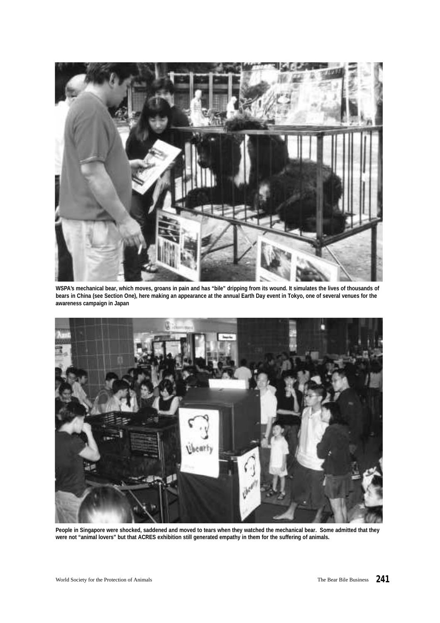

**WSPA's mechanical bear, which moves, groans in pain and has "bile" dripping from its wound. It simulates the lives of thousands of bears in China (see Section One), here making an appearance at the annual Earth Day event in Tokyo, one of several venues for the awareness campaign in Japan**



**People in Singapore were shocked, saddened and moved to tears when they watched the mechanical bear. Some admitted that they were not "animal lovers" but that ACRES exhibition still generated empathy in them for the suffering of animals.**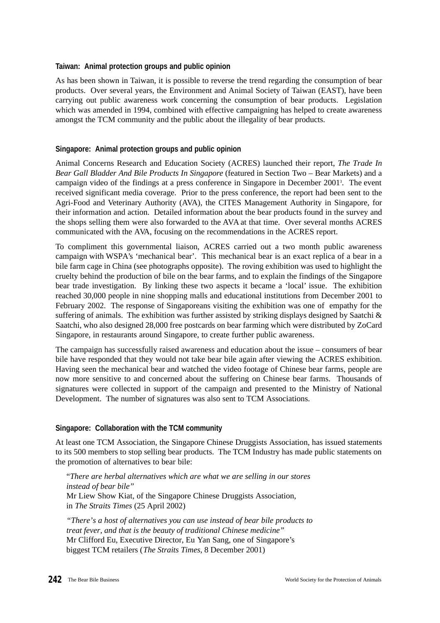#### **Taiwan: Animal protection groups and public opinion**

As has been shown in Taiwan, it is possible to reverse the trend regarding the consumption of bear products. Over several years, the Environment and Animal Society of Taiwan (EAST), have been carrying out public awareness work concerning the consumption of bear products. Legislation which was amended in 1994, combined with effective campaigning has helped to create awareness amongst the TCM community and the public about the illegality of bear products.

### **Singapore: Animal protection groups and public opinion**

Animal Concerns Research and Education Society (ACRES) launched their report, *The Trade In Bear Gall Bladder And Bile Products In Singapore* (featured in Section Two – Bear Markets) and a campaign video of the findings at a press conference in Singapore in December 2001<sup>3</sup> . The event received significant media coverage. Prior to the press conference, the report had been sent to the Agri-Food and Veterinary Authority (AVA), the CITES Management Authority in Singapore, for their information and action. Detailed information about the bear products found in the survey and the shops selling them were also forwarded to the AVA at that time. Over several months ACRES communicated with the AVA, focusing on the recommendations in the ACRES report.

To compliment this governmental liaison, ACRES carried out a two month public awareness campaign with WSPA's 'mechanical bear'. This mechanical bear is an exact replica of a bear in a bile farm cage in China (see photographs opposite). The roving exhibition was used to highlight the cruelty behind the production of bile on the bear farms, and to explain the findings of the Singapore bear trade investigation. By linking these two aspects it became a 'local' issue. The exhibition reached 30,000 people in nine shopping malls and educational institutions from December 2001 to February 2002. The response of Singaporeans visiting the exhibition was one of empathy for the suffering of animals. The exhibition was further assisted by striking displays designed by Saatchi  $\&$ Saatchi, who also designed 28,000 free postcards on bear farming which were distributed by ZoCard Singapore, in restaurants around Singapore, to create further public awareness.

The campaign has successfully raised awareness and education about the issue – consumers of bear bile have responded that they would not take bear bile again after viewing the ACRES exhibition. Having seen the mechanical bear and watched the video footage of Chinese bear farms, people are now more sensitive to and concerned about the suffering on Chinese bear farms. Thousands of signatures were collected in support of the campaign and presented to the Ministry of National Development. The number of signatures was also sent to TCM Associations.

## **Singapore: Collaboration with the TCM community**

At least one TCM Association, the Singapore Chinese Druggists Association, has issued statements to its 500 members to stop selling bear products. The TCM Industry has made public statements on the promotion of alternatives to bear bile:

"*There are herbal alternatives which are what we are selling in our stores instead of bear bile"* Mr Liew Show Kiat, of the Singapore Chinese Druggists Association, in *The Straits Times* (25 April 2002)

*"There's a host of alternatives you can use instead of bear bile products to treat fever, and that is the beauty of traditional Chinese medicine"* Mr Clifford Eu, Executive Director, Eu Yan Sang, one of Singapore's biggest TCM retailers (*The Straits Times*, 8 December 2001)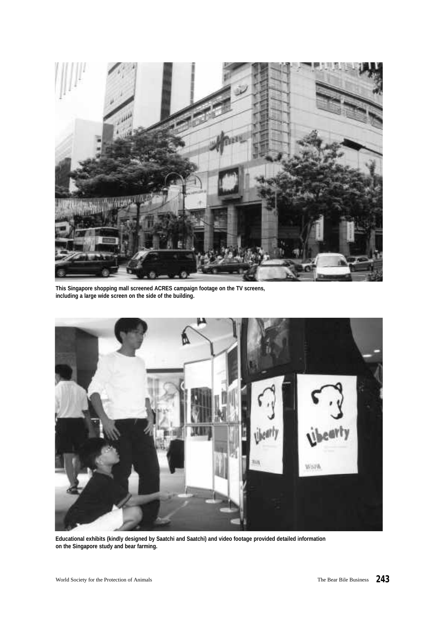

**This Singapore shopping mall screened ACRES campaign footage on the TV screens, including a large wide screen on the side of the building.**



**Educational exhibits (kindly designed by Saatchi and Saatchi) and video footage provided detailed information on the Singapore study and bear farming.**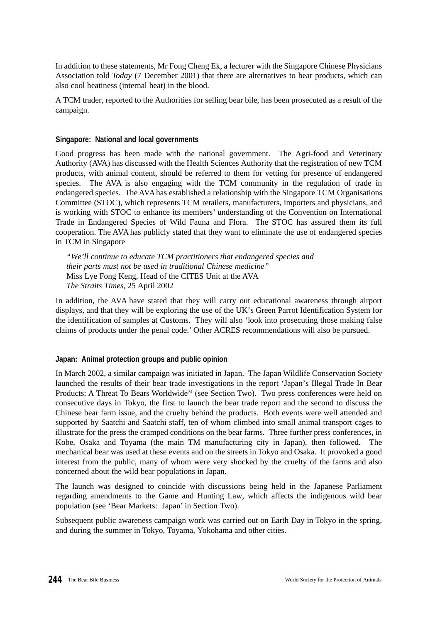In addition to these statements, Mr Fong Cheng Ek, a lecturer with the Singapore Chinese Physicians Association told *Today* (7 December 2001) that there are alternatives to bear products, which can also cool heatiness (internal heat) in the blood.

A TCM trader, reported to the Authorities for selling bear bile, has been prosecuted as a result of the campaign.

#### **Singapore: National and local governments**

Good progress has been made with the national government. The Agri-food and Veterinary Authority (AVA) has discussed with the Health Sciences Authority that the registration of new TCM products, with animal content, should be referred to them for vetting for presence of endangered species. The AVA is also engaging with the TCM community in the regulation of trade in endangered species. The AVAhas established a relationship with the Singapore TCM Organisations Committee (STOC), which represents TCM retailers, manufacturers, importers and physicians, and is working with STOC to enhance its members' understanding of the Convention on International Trade in Endangered Species of Wild Fauna and Flora. The STOC has assured them its full cooperation. The AVA has publicly stated that they want to eliminate the use of endangered species in TCM in Singapore

*"We'll continue to educate TCM practitioners that endangered species and their parts must not be used in traditional Chinese medicine"* Miss Lye Fong Keng, Head of the CITES Unit at the AVA *The Straits Times*, 25 April 2002

In addition, the AVA have stated that they will carry out educational awareness through airport displays, and that they will be exploring the use of the UK's Green Parrot Identification System for the identification of samples at Customs. They will also 'look into prosecuting those making false claims of products under the penal code.' Other ACRES recommendations will also be pursued.

#### **Japan: Animal protection groups and public opinion**

In March 2002, a similar campaign was initiated in Japan. The Japan Wildlife Conservation Society launched the results of their bear trade investigations in the report 'Japan's Illegal Trade In Bear Products: A Threat To Bears Worldwide<sup>24</sup> (see Section Two). Two press conferences were held on consecutive days in Tokyo, the first to launch the bear trade report and the second to discuss the Chinese bear farm issue, and the cruelty behind the products. Both events were well attended and supported by Saatchi and Saatchi staff, ten of whom climbed into small animal transport cages to illustrate for the press the cramped conditions on the bear farms. Three further press conferences, in Kobe, Osaka and Toyama (the main TM manufacturing city in Japan), then followed. The mechanical bear was used at these events and on the streets in Tokyo and Osaka. It provoked a good interest from the public, many of whom were very shocked by the cruelty of the farms and also concerned about the wild bear populations in Japan.

The launch was designed to coincide with discussions being held in the Japanese Parliament regarding amendments to the Game and Hunting Law, which affects the indigenous wild bear population (see 'Bear Markets: Japan' in Section Two).

Subsequent public awareness campaign work was carried out on Earth Day in Tokyo in the spring, and during the summer in Tokyo, Toyama, Yokohama and other cities.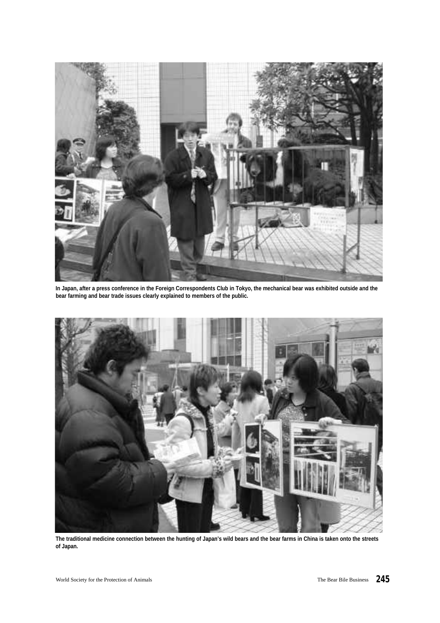

**In Japan, after a press conference in the Foreign Correspondents Club in Tokyo, the mechanical bear was exhibited outside and the bear farming and bear trade issues clearly explained to members of the public.**



**The traditional medicine connection between the hunting of Japan's wild bears and the bear farms in China is taken onto the streets of Japan.**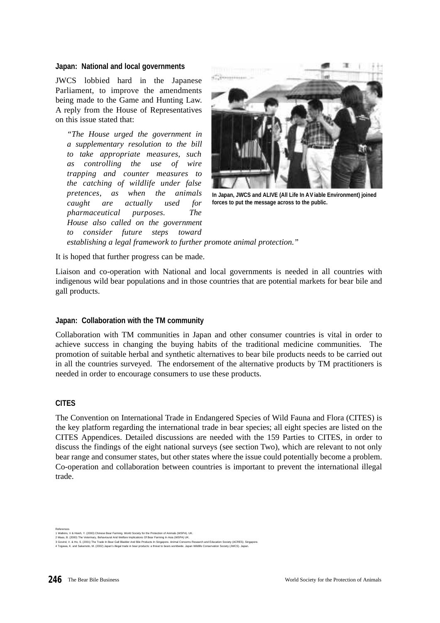#### **Japan: National and local governments**

JWCS lobbied hard in the Japanese Parliament, to improve the amendments being made to the Game and Hunting Law. A reply from the House of Representatives on this issue stated that:

*"The House urged the government in a supplementary resolution to the bill to take appropriate measures, such as controlling the use of wire trapping and counter measures to the catching of wildlife under false p retences, as when the animals caught are actually used for pharmaceutical purposes. The House also called on the government to consider future steps toward* 



**In Japan, JWCS and ALIVE (All Life In AV iable Environment) joined forces to put the message across to the public.**

*establishing a legal framework to further promote animal protection."*

It is hoped that further progress can be made.

Liaison and co-operation with National and local governments is needed in all countries with indigenous wild bear populations and in those countries that are potential markets for bear bile and gall products.

#### **Japan: Collaboration with the TM community**

Collaboration with TM communities in Japan and other consumer countries is vital in order to achieve success in changing the buying habits of the traditional medicine communities. The promotion of suitable herbal and synthetic alternatives to bear bile products needs to be carried out in all the countries surveyed. The endorsement of the alternative products by TM practitioners is needed in order to encourage consumers to use these products.

#### **CITES**

The Convention on International Trade in Endangered Species of Wild Fauna and Flora (CITES) is the key platform regarding the international trade in bear species; all eight species are listed on the CITES Appendices. Detailed discussions are needed with the 159 Parties to CITES, in order to discuss the findings of the eight national surveys (see section Two), which are relevant to not only bear range and consumer states, but other states where the issue could potentially become a problem. Co-operation and collaboration between countries is important to prevent the international illegal trade.

References<br>1 Watkins, V & Hsieh, Y. (2000) Chinese Bear Farming. World Society for the Protection of Animals (WSPA). UK.<br>3 Maas, B. (2000) The Veterinary, Behavioural And Welfare Implications Of Bear Farming In Asia (WSPA)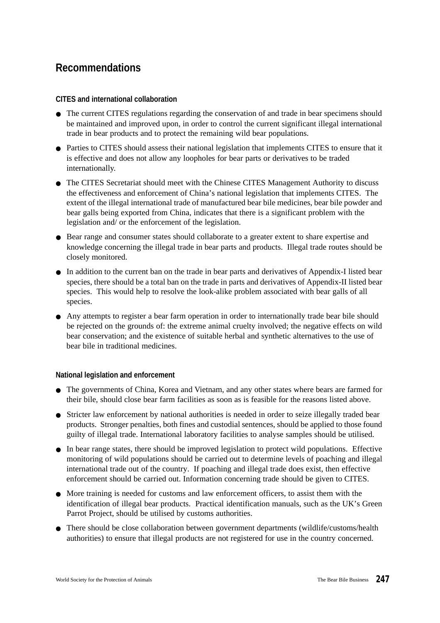# **Recommendations**

### **CITES and international collaboration**

- The current CITES regulations regarding the conservation of and trade in bear specimens should be maintained and improved upon, in order to control the current significant illegal international trade in bear products and to protect the remaining wild bear populations.
- Parties to CITES should assess their national legislation that implements CITES to ensure that it is effective and does not allow any loopholes for bear parts or derivatives to be traded internationally.
- The CITES Secretariat should meet with the Chinese CITES Management Authority to discuss the effectiveness and enforcement of China's national legislation that implements CITES. The extent of the illegal international trade of manufactured bear bile medicines, bear bile powder and bear galls being exported from China, indicates that there is a significant problem with the legislation and/ or the enforcement of the legislation.
- Bear range and consumer states should collaborate to a greater extent to share expertise and knowledge concerning the illegal trade in bear parts and products. Illegal trade routes should be closely monitored.
- In addition to the current ban on the trade in bear parts and derivatives of Appendix-I listed bear species, there should be a total ban on the trade in parts and derivatives of Appendix-II listed bear species. This would help to resolve the look-alike problem associated with bear galls of all species.
- Any attempts to register a bear farm operation in order to internationally trade bear bile should be rejected on the grounds of: the extreme animal cruelty involved; the negative effects on wild bear conservation; and the existence of suitable herbal and synthetic alternatives to the use of bear bile in traditional medicines.

#### **National legislation and enforcement**

- The governments of China, Korea and Vietnam, and any other states where bears are farmed for their bile, should close bear farm facilities as soon as is feasible for the reasons listed above.
- Stricter law enforcement by national authorities is needed in order to seize illegally traded bear products. Stronger penalties, both fines and custodial sentences, should be applied to those found guilty of illegal trade. International laboratory facilities to analyse samples should be utilised.
- In bear range states, there should be improved legislation to protect wild populations. Effective monitoring of wild populations should be carried out to determine levels of poaching and illegal international trade out of the country. If poaching and illegal trade does exist, then effective enforcement should be carried out. Information concerning trade should be given to CITES.
- More training is needed for customs and law enforcement officers, to assist them with the identification of illegal bear products. Practical identification manuals, such as the UK's Green Parrot Project, should be utilised by customs authorities.
- There should be close collaboration between government departments (wildlife/customs/health authorities) to ensure that illegal products are not registered for use in the country concerned.